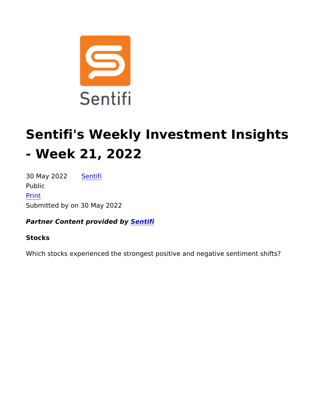# Sentifi's Weekly Investment Insig - Week 21, 2022

30 May 2022[Sent](https://alpha-week.com/author/sentifi)ifi Public [Pri](https://alpha-week.com/print/pdf/node/9376)nt Submitted by on 30 May 2022

Partner Content provide ce by fi

Stocks

Which stocks experienced the strongest positive and negative ser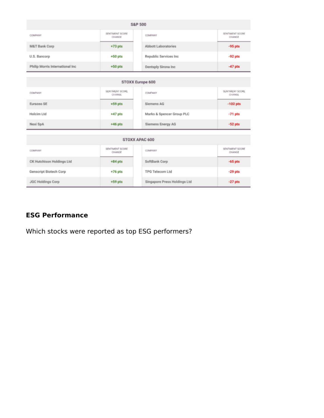| S&P 500                          |                           |  |                              |                            |
|----------------------------------|---------------------------|--|------------------------------|----------------------------|
| COMPANY                          | SENTIMENT SCORE<br>CHANGE |  | COMPANY                      | SENTIMENT SCORE<br>CHANGE  |
| <b>M&amp;T Bank Corp</b>         | $+73$ pts                 |  | Abbott Laboratories          | $-95$ pts                  |
| U.S. Bancorp                     | $+50$ pts                 |  | Republic Services Inc.       | $-92$ pts                  |
| Philip Morris International Inc. | $+50$ pts                 |  | Dentsply Sirona Inc          | $-47$ pts                  |
|                                  |                           |  |                              |                            |
| STOXX Europe 600                 |                           |  |                              |                            |
| COMPANY                          | SENTIMENT SCORE<br>CHANGE |  | COMPANY                      | SENTIMENT SCORE<br>CHANGE. |
| Eurazeo SE                       | $+59$ pts                 |  | Siemens AG                   | $-102$ pts                 |
| Holcim Ltd                       | $+47$ pts                 |  | Marks & Spencer Group PLC    | $-71$ pts                  |
| Nexi SpA                         | $+46$ pts                 |  | Siemens Energy AG            | $-52$ pts                  |
|                                  |                           |  |                              |                            |
|                                  |                           |  | STOXX APAC 600               |                            |
| COMPANY                          | SENTIMENT SCORE<br>CHANGE |  | COMPANY                      | SENTIMENT SCORE<br>CHANGE  |
| CK Hutchison Holdings Ltd        | $+84$ pts                 |  | SoftBank Corp                | $-65$ pts                  |
| Genscript Biotech Corp           | $+76$ pts                 |  | TPG Telecom Ltd              | $-29$ pts                  |
| <b>JGC Holdings Corp</b>         | $+59$ pts                 |  | Singapore Press Holdings Ltd | $-27$ pts                  |

## **ESG Performance**

Which stocks were reported as top ESG performers?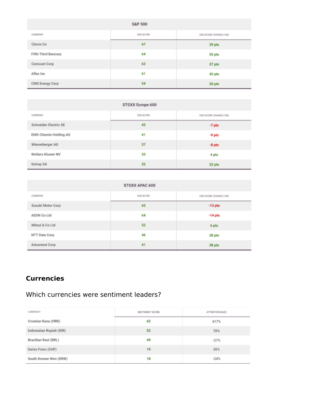| <b>S&amp;P 500</b>         |           |                       |  |
|----------------------------|-----------|-----------------------|--|
| COMPANY                    | ESG SCORE | ESG SCORE CHANGE (1M) |  |
| Clorox Co                  | 67        | 39 pts                |  |
| <b>Fifth Third Bancorp</b> | 64        | 55 pts                |  |
| Comcast Corp               | 63        | 37 pts                |  |
| Aflac Inc                  | 61        | 43 pts                |  |
| CMS Energy Corp            | 54        | 20 pts                |  |

| STOXX Europe 600      |           |                       |  |
|-----------------------|-----------|-----------------------|--|
| COMPANY               | ESG SCORE | ESG SCORE CHANGE (1M) |  |
| Schneider Electric SE | 45        | $-7$ pts              |  |
| EMS-Chemie Holding AG | 41        | $-9$ pts              |  |
| Wienerberger AG       | 37        | $-8$ pts              |  |
| Wolters Kluwer NV     | 33        | 4 pts                 |  |
| Solvay SA             | 32        | 22 pts                |  |

| STOXX APAC 600    |           |                       |  |
|-------------------|-----------|-----------------------|--|
| COMPANY           | ESG SCORE | ESG SCORE CHANGE (1M) |  |
| Suzuki Motor Corp | 65        | $-13$ pts             |  |
| AEON Co Ltd       | 64        | $-14$ pts             |  |
| Mitsui & Co Ltd   | 52        | 6 pts                 |  |
| NTT Data Corp     | 46        | 28 pts                |  |
| Advantest Corp    | 41        | 38 pts                |  |

# **Currencies**

## Which currencies were sentiment leaders?

| CURRENCY                | SENTIMENT SCORE | ATTENTION BUZZ |
|-------------------------|-----------------|----------------|
| Croatian Kuna (HRK)     | 62              | 417%           |
| Indonesian Rupiah (IDR) | 52              | 70%            |
| Brazilian Real (BRL)    | 49              | $-27%$         |
| Swiss Franc (CHF)       | 19              | 26%            |
| South Korean Won (KRW)  | 18              | $-24%$         |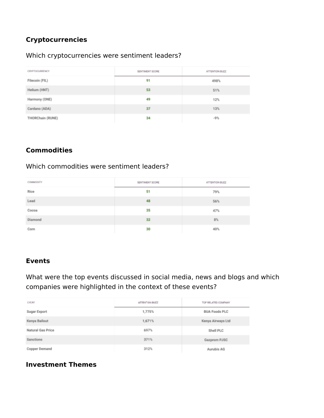# **Cryptocurrencies**

#### Which cryptocurrencies were sentiment leaders?

| <b>CRYPTOCURRENCY</b> | SENTIMENT SCORE | ATTENTION BUZZ |
|-----------------------|-----------------|----------------|
| Filecoin (FIL)        | 91              | 498%           |
| Helium (HNT)          | 53              | 51%            |
| Harmony (ONE)         | 49              | 12%            |
| Cardano (ADA)         | 37              | 13%            |
| THORChain (RUNE)      | 34              | $-9%$          |

#### **Commodities**

## Which commodities were sentiment leaders?

| COMMODITY | SENTIMENT SCORE | ATTENTION BUZZ |
|-----------|-----------------|----------------|
| Rice      | 51              | 79%            |
| Lead      | 48              | 56%            |
| Cocoa     | 35              | 47%            |
| Diamond   | 32              | 8%             |
| Corn      | 30              | 40%            |

## **Events**

## What were the top events discussed in social media, news and blogs and which companies were highlighted in the context of these events?

| <b>EVENT</b>      | ATTENTION BUZZ | TOP RELATED COMPANY  |
|-------------------|----------------|----------------------|
| Sugar Export      | 1,775%         | <b>BUA Foods PLC</b> |
| Kenya Bailout     | 1,671%         | Kenya Airways Ltd    |
| Natural Gas Price | 697%           | Shell PLC            |
| Sanctions         | 371%           | Gazprom PJSC         |
| Copper Demand     | 312%           | Aurubis AG           |

## **Investment Themes**